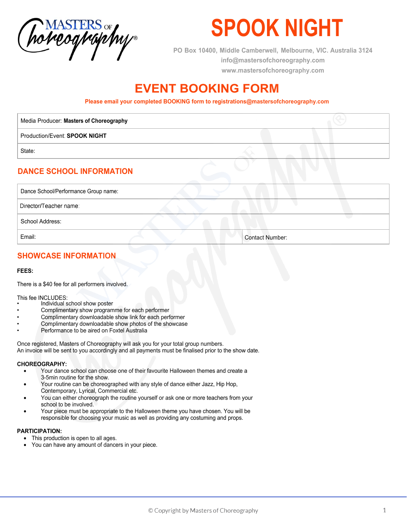

# **SPOOK NIGHT**

**PO Box 10400, Middle Camberwell, Melbourne, VIC. Australia 3124 info@mastersofchoreography.com www.mastersofchoreography.com** 

### **EVENT BOOKING FORM**

**Please email your completed BOOKING form to registrations@mastersofchoreography.com**

| Media Producer: Masters of Choreography              |  |
|------------------------------------------------------|--|
| Production/Event: SPOOK NIGHT                        |  |
| State:                                               |  |
| <b>DANCE SCHOOL INFORMATION</b>                      |  |
| Dance School/Performance Group name:                 |  |
| $\mathbf{D}$ ing atau $\mathbf{E}$ a a algan managar |  |

Director/Teacher name:

School Address:

Email: Contact Number:

### **SHOWCASE INFORMATION**

#### **FEES:**

There is a \$40 fee for all performers involved.

This fee INCLUDES:

- Individual school show poster
- Complimentary show programme for each performer
- Complimentary downloadable show link for each performer
- Complimentary downloadable show photos of the showcase
- Performance to be aired on Foxtel Australia

Once registered, Masters of Choreography will ask you for your total group numbers. An invoice will be sent to you accordingly and all payments must be finalised prior to the show date.

#### **CHOREOGRAPHY:**

- Your dance school can choose one of their favourite Halloween themes and create a 3-5min routine for the show.
- Your routine can be choreographed with any style of dance either Jazz, Hip Hop, Contemporary, Lyrical, Commercial etc.
- You can either choreograph the routine yourself or ask one or more teachers from your school to be involved.
- Your piece must be appropriate to the Halloween theme you have chosen. You will be responsible for choosing your music as well as providing any costuming and props.

#### **PARTICIPATION:**

- This production is open to all ages.
- You can have any amount of dancers in your piece.